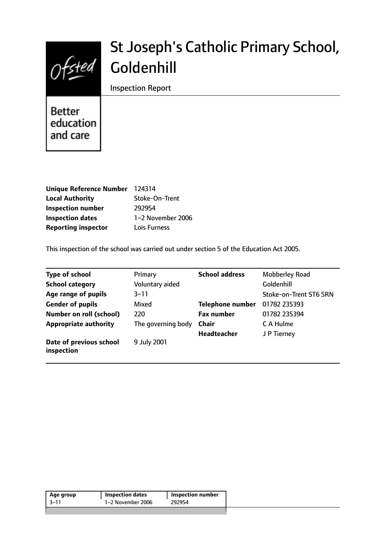

# St Joseph's Catholic Primary School, Goldenhill

Inspection Report

**Better** education and care

| Unique Reference Number 124314 |                   |
|--------------------------------|-------------------|
| <b>Local Authority</b>         | Stoke-On-Trent    |
| <b>Inspection number</b>       | 292954            |
| <b>Inspection dates</b>        | 1-2 November 2006 |
| <b>Reporting inspector</b>     | Lois Furness      |

This inspection of the school was carried out under section 5 of the Education Act 2005.

| <b>Type of school</b>                 | Primary            | <b>School address</b>   | <b>Mobberley Road</b>  |
|---------------------------------------|--------------------|-------------------------|------------------------|
| <b>School category</b>                | Voluntary aided    |                         | Goldenhill             |
| Age range of pupils                   | $3 - 11$           |                         | Stoke-on-Trent ST6 5RN |
| <b>Gender of pupils</b>               | Mixed              | <b>Telephone number</b> | 01782 235393           |
| <b>Number on roll (school)</b>        | 220                | <b>Fax number</b>       | 01782 235394           |
| <b>Appropriate authority</b>          | The governing body | Chair                   | C A Hulme              |
|                                       |                    | <b>Headteacher</b>      | J P Tierney            |
| Date of previous school<br>inspection | 9 July 2001        |                         |                        |

| Age group | <b>Inspection dates</b> | Inspection number |
|-----------|-------------------------|-------------------|
| 3–11      | 1–2 November 2006       | 292954            |
|           |                         |                   |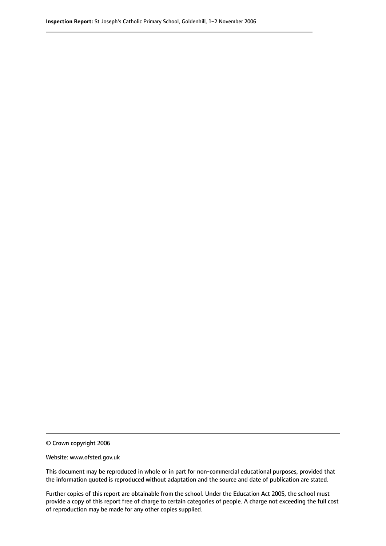© Crown copyright 2006

Website: www.ofsted.gov.uk

This document may be reproduced in whole or in part for non-commercial educational purposes, provided that the information quoted is reproduced without adaptation and the source and date of publication are stated.

Further copies of this report are obtainable from the school. Under the Education Act 2005, the school must provide a copy of this report free of charge to certain categories of people. A charge not exceeding the full cost of reproduction may be made for any other copies supplied.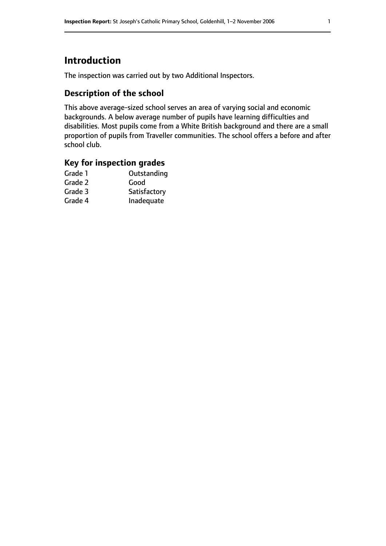# **Introduction**

The inspection was carried out by two Additional Inspectors.

## **Description of the school**

This above average-sized school serves an area of varying social and economic backgrounds. A below average number of pupils have learning difficulties and disabilities. Most pupils come from a White British background and there are a small proportion of pupils from Traveller communities. The school offers a before and after school club.

## **Key for inspection grades**

| Grade 1 | Outstanding  |
|---------|--------------|
| Grade 2 | Good         |
| Grade 3 | Satisfactory |
| Grade 4 | Inadequate   |
|         |              |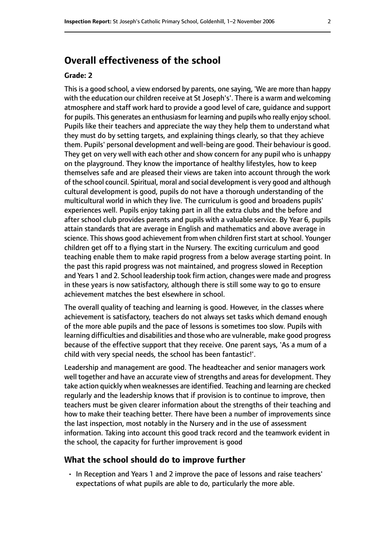# **Overall effectiveness of the school**

#### **Grade: 2**

Thisis a good school, a view endorsed by parents, one saying, 'We are more than happy with the education our children receive at St Joseph's'. There is a warm and welcoming atmosphere and staff work hard to provide a good level of care, guidance and support for pupils. This generates an enthusiasm for learning and pupils who really enjoy school. Pupils like their teachers and appreciate the way they help them to understand what they must do by setting targets, and explaining things clearly, so that they achieve them. Pupils' personal development and well-being are good. Their behaviour is good. They get on very well with each other and show concern for any pupil who is unhappy on the playground. They know the importance of healthy lifestyles, how to keep themselves safe and are pleased their views are taken into account through the work of the school council. Spiritual, moral and social development is very good and although cultural development is good, pupils do not have a thorough understanding of the multicultural world in which they live. The curriculum is good and broadens pupils' experiences well. Pupils enjoy taking part in all the extra clubs and the before and after school club provides parents and pupils with a valuable service. By Year 6, pupils attain standards that are average in English and mathematics and above average in science. This shows good achievement from when children first start at school. Younger children get off to a flying start in the Nursery. The exciting curriculum and good teaching enable them to make rapid progress from a below average starting point. In the past this rapid progress was not maintained, and progress slowed in Reception and Years 1 and 2. School leadership took firm action, changes were made and progress in these years is now satisfactory, although there is still some way to go to ensure achievement matches the best elsewhere in school.

The overall quality of teaching and learning is good. However, in the classes where achievement is satisfactory, teachers do not always set tasks which demand enough of the more able pupils and the pace of lessons is sometimes too slow. Pupils with learning difficulties and disabilities and those who are vulnerable, make good progress because of the effective support that they receive. One parent says, 'As a mum of a child with very special needs, the school has been fantastic!'.

Leadership and management are good. The headteacher and senior managers work well together and have an accurate view of strengths and areas for development. They take action quickly when weaknesses are identified. Teaching and learning are checked regularly and the leadership knows that if provision is to continue to improve, then teachers must be given clearer information about the strengths of their teaching and how to make their teaching better. There have been a number of improvements since the last inspection, most notably in the Nursery and in the use of assessment information. Taking into account this good track record and the teamwork evident in the school, the capacity for further improvement is good

#### **What the school should do to improve further**

• In Reception and Years 1 and 2 improve the pace of lessons and raise teachers' expectations of what pupils are able to do, particularly the more able.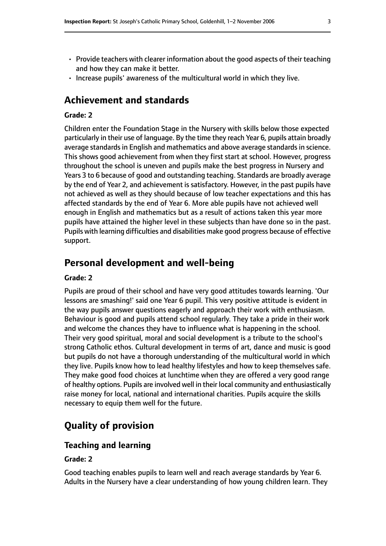- Provide teachers with clearer information about the good aspects of their teaching and how they can make it better.
- Increase pupils' awareness of the multicultural world in which they live.

# **Achievement and standards**

#### **Grade: 2**

Children enter the Foundation Stage in the Nursery with skills below those expected particularly in their use of language. By the time they reach Year 6, pupils attain broadly average standards in English and mathematics and above average standards in science. This shows good achievement from when they first start at school. However, progress throughout the school is uneven and pupils make the best progress in Nursery and Years 3 to 6 because of good and outstanding teaching. Standards are broadly average by the end of Year 2, and achievement is satisfactory. However, in the past pupils have not achieved as well as they should because of low teacher expectations and this has affected standards by the end of Year 6. More able pupils have not achieved well enough in English and mathematics but as a result of actions taken this year more pupils have attained the higher level in these subjects than have done so in the past. Pupils with learning difficulties and disabilities make good progress because of effective support.

## **Personal development and well-being**

## **Grade: 2**

Pupils are proud of their school and have very good attitudes towards learning. 'Our lessons are smashing!' said one Year 6 pupil. This very positive attitude is evident in the way pupils answer questions eagerly and approach their work with enthusiasm. Behaviour is good and pupils attend school regularly. They take a pride in their work and welcome the chances they have to influence what is happening in the school. Their very good spiritual, moral and social development is a tribute to the school's strong Catholic ethos. Cultural development in terms of art, dance and music is good but pupils do not have a thorough understanding of the multicultural world in which they live. Pupils know how to lead healthy lifestyles and how to keep themselves safe. They make good food choices at lunchtime when they are offered a very good range of healthy options. Pupils are involved well in their local community and enthusiastically raise money for local, national and international charities. Pupils acquire the skills necessary to equip them well for the future.

# **Quality of provision**

## **Teaching and learning**

## **Grade: 2**

Good teaching enables pupils to learn well and reach average standards by Year 6. Adults in the Nursery have a clear understanding of how young children learn. They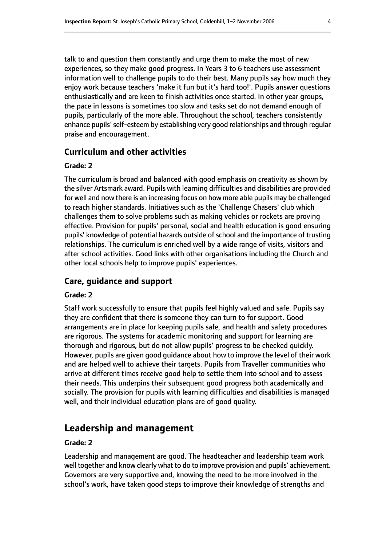talk to and question them constantly and urge them to make the most of new experiences, so they make good progress. In Years 3 to 6 teachers use assessment information well to challenge pupils to do their best. Many pupils say how much they enjoy work because teachers 'make it fun but it's hard too!'. Pupils answer questions enthusiastically and are keen to finish activities once started. In other year groups, the pace in lessons is sometimes too slow and tasks set do not demand enough of pupils, particularly of the more able. Throughout the school, teachers consistently enhance pupils'self-esteem by establishing very good relationships and through regular praise and encouragement.

## **Curriculum and other activities**

## **Grade: 2**

The curriculum is broad and balanced with good emphasis on creativity as shown by the silver Artsmark award. Pupils with learning difficulties and disabilities are provided for well and now there is an increasing focus on how more able pupils may be challenged to reach higher standards. Initiatives such as the 'Challenge Chasers' club which challenges them to solve problems such as making vehicles or rockets are proving effective. Provision for pupils' personal, social and health education is good ensuring pupils' knowledge of potential hazards outside of school and the importance of trusting relationships. The curriculum is enriched well by a wide range of visits, visitors and after school activities. Good links with other organisations including the Church and other local schools help to improve pupils' experiences.

## **Care, guidance and support**

## **Grade: 2**

Staff work successfully to ensure that pupils feel highly valued and safe. Pupils say they are confident that there is someone they can turn to for support. Good arrangements are in place for keeping pupils safe, and health and safety procedures are rigorous. The systems for academic monitoring and support for learning are thorough and rigorous, but do not allow pupils' progress to be checked quickly. However, pupils are given good guidance about how to improve the level of their work and are helped well to achieve their targets. Pupils from Traveller communities who arrive at different times receive good help to settle them into school and to assess their needs. This underpins their subsequent good progress both academically and socially. The provision for pupils with learning difficulties and disabilities is managed well, and their individual education plans are of good quality.

## **Leadership and management**

## **Grade: 2**

Leadership and management are good. The headteacher and leadership team work well together and know clearly what to do to improve provision and pupils' achievement. Governors are very supportive and, knowing the need to be more involved in the school's work, have taken good steps to improve their knowledge of strengths and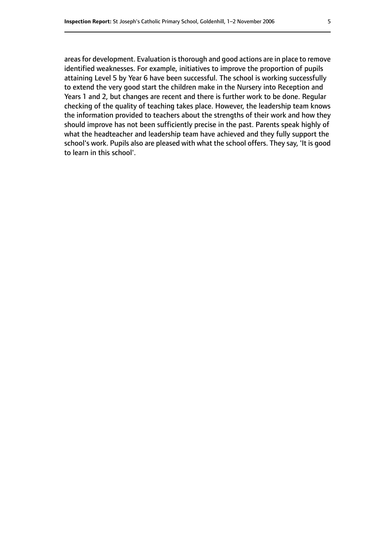areas for development. Evaluation is thorough and good actions are in place to remove identified weaknesses. For example, initiatives to improve the proportion of pupils attaining Level 5 by Year 6 have been successful. The school is working successfully to extend the very good start the children make in the Nursery into Reception and Years 1 and 2, but changes are recent and there is further work to be done. Regular checking of the quality of teaching takes place. However, the leadership team knows the information provided to teachers about the strengths of their work and how they should improve has not been sufficiently precise in the past. Parents speak highly of what the headteacher and leadership team have achieved and they fully support the school's work. Pupils also are pleased with what the school offers. They say, 'It is good to learn in this school'.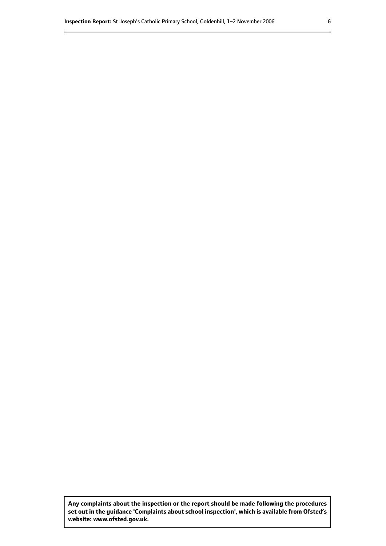**Any complaints about the inspection or the report should be made following the procedures set out inthe guidance 'Complaints about school inspection', whichis available from Ofsted's website: www.ofsted.gov.uk.**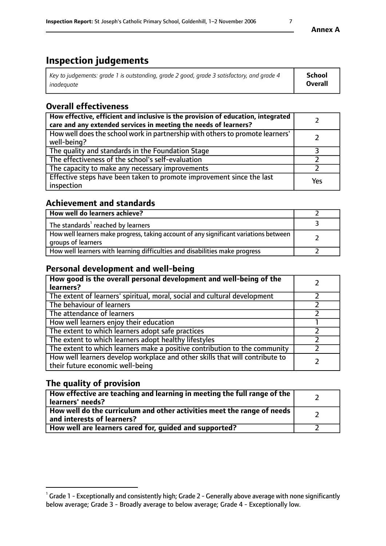# **Inspection judgements**

| Key to judgements: grade 1 is outstanding, grade 2 good, grade 3 satisfactory, and grade 4 | School         |
|--------------------------------------------------------------------------------------------|----------------|
| inadeauate                                                                                 | <b>Overall</b> |

## **Overall effectiveness**

| How effective, efficient and inclusive is the provision of education, integrated<br>care and any extended services in meeting the needs of learners? |     |
|------------------------------------------------------------------------------------------------------------------------------------------------------|-----|
| How well does the school work in partnership with others to promote learners'<br>well-being?                                                         |     |
| The quality and standards in the Foundation Stage                                                                                                    |     |
| The effectiveness of the school's self-evaluation                                                                                                    |     |
| The capacity to make any necessary improvements                                                                                                      |     |
| Effective steps have been taken to promote improvement since the last<br>inspection                                                                  | Yes |

## **Achievement and standards**

| How well do learners achieve?                                                                               |  |
|-------------------------------------------------------------------------------------------------------------|--|
| The standards <sup>1</sup> reached by learners                                                              |  |
| How well learners make progress, taking account of any significant variations between<br>groups of learners |  |
| How well learners with learning difficulties and disabilities make progress                                 |  |

## **Personal development and well-being**

| How good is the overall personal development and well-being of the<br>learners?                                  |  |
|------------------------------------------------------------------------------------------------------------------|--|
| The extent of learners' spiritual, moral, social and cultural development                                        |  |
| The behaviour of learners                                                                                        |  |
| The attendance of learners                                                                                       |  |
| How well learners enjoy their education                                                                          |  |
| The extent to which learners adopt safe practices                                                                |  |
| The extent to which learners adopt healthy lifestyles                                                            |  |
| The extent to which learners make a positive contribution to the community                                       |  |
| How well learners develop workplace and other skills that will contribute to<br>their future economic well-being |  |

## **The quality of provision**

| How effective are teaching and learning in meeting the full range of the<br>learners' needs?          |  |
|-------------------------------------------------------------------------------------------------------|--|
| How well do the curriculum and other activities meet the range of needs<br>and interests of learners? |  |
| How well are learners cared for, guided and supported?                                                |  |

 $^1$  Grade 1 - Exceptionally and consistently high; Grade 2 - Generally above average with none significantly below average; Grade 3 - Broadly average to below average; Grade 4 - Exceptionally low.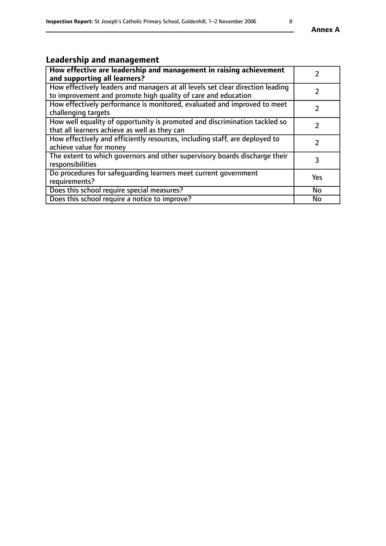# **Leadership and management**

| How effective are leadership and management in raising achievement<br>and supporting all learners?                                              |               |
|-------------------------------------------------------------------------------------------------------------------------------------------------|---------------|
| How effectively leaders and managers at all levels set clear direction leading<br>to improvement and promote high quality of care and education |               |
| How effectively performance is monitored, evaluated and improved to meet<br>challenging targets                                                 |               |
| How well equality of opportunity is promoted and discrimination tackled so<br>that all learners achieve as well as they can                     |               |
| How effectively and efficiently resources, including staff, are deployed to<br>achieve value for money                                          | $\mathcal{P}$ |
| The extent to which governors and other supervisory boards discharge their<br>responsibilities                                                  | 3             |
| Do procedures for safequarding learners meet current government<br>requirements?                                                                | Yes           |
| Does this school require special measures?                                                                                                      | No            |
| Does this school require a notice to improve?                                                                                                   | <b>No</b>     |